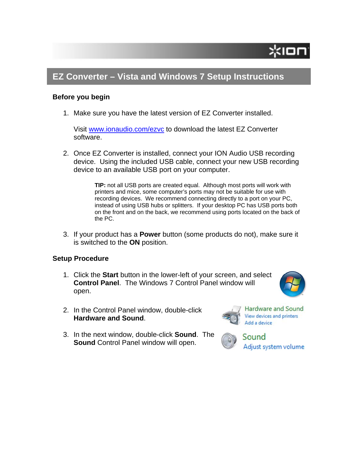## **EZ Converter – Vista and Windows 7 Setup Instructions**

### **Before you begin**

1. Make sure you have the latest version of EZ Converter installed.

Visit [www.ionaudio.com/ezvc](http://www.ionaudio.com/extras/miscfiles/ez/new_ezvcreg.php) to download the latest EZ Converter software.

2. Once EZ Converter is installed, connect your ION Audio USB recording device. Using the included USB cable, connect your new USB recording device to an available USB port on your computer.

> **TIP:** not all USB ports are created equal. Although most ports will work with printers and mice, some computer's ports may not be suitable for use with recording devices. We recommend connecting directly to a port on your PC, instead of using USB hubs or splitters. If your desktop PC has USB ports both on the front and on the back, we recommend using ports located on the back of the PC.

3. If your product has a **Power** button (some products do not), make sure it is switched to the **ON** position.

### **Setup Procedure**

- 1. Click the **Start** button in the lower-left of your screen, and select **Control Panel**. The Windows 7 Control Panel window will open.
- 2. In the Control Panel window, double-click **Hardware and Sound**.
- 3. In the next window, double-click **Sound**. The **Sound** Control Panel window will open.



Hardware and Sound View devices and printers Add a device

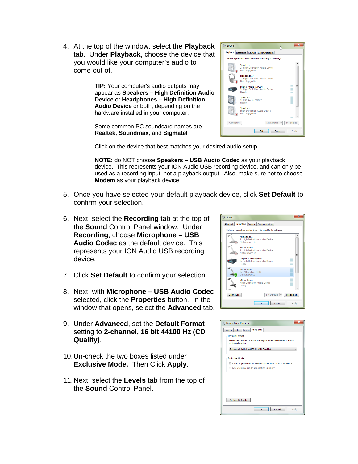4. At the top of the window, select the **P layback** tab. Under **Playback**, choose the device that you would like your computer's audio to come out of.

> **udio** appear as **Speakers – High Definition A on Device** or **Headphones – High Definiti TIP:** Your computer's audio outputs may **Audio Device** or both, depending on the hardware installed in your computer.

Some common PC soundcard names are **Realtek**, **Soundmax**, and **Sigmatel**



Click on the device that best matches your desired audio setup.

**NOTE:** do NOT choose **Speakers – USB Audio Codec** as your playback device. This represents your ION Audio USB recording device, and can only be used as a recording input, not a playback output. Also, make sure not to choose **Modem** as your playback device.

- 5. Once you have selected your default playback device, click **Set Default** to confirm your selection.
- 6. Next, select the **Recording** tab at the top of the **Sound** Control Panel window. Under **Recording**, choose **Microphone – USB Audio Codec** as the default device. This represents your ION Audio USB recording device.
- 7. Click **Set Default** to confirm your selection.
- window that opens, select the **Advanced** tab. 8. Next, with **Microphone – USB Audio Codec** selected, click the **Properties** button. In the
- 9. Under **Advanced**, set the **Default Format** setting to **2-channel, 16 bit 44100 Hz (CD Quality)**.
- 10. Un-check the two boxes listed under **Exclusive Mode.** Then Click **Apply**.
- 11. Next, select the Levels tab from the top of the **Sound** Control Panel.